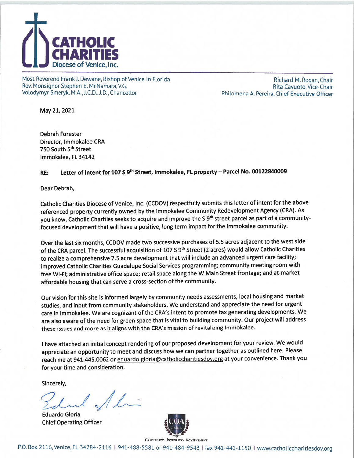

Most Reverend Frank J. Dewane, Bishop of Venice in Florida Richard M. Rogan, Chair Rev. Monsignor Stephen E. McNamara, V.G.<br>Volodymyr Smeryk, M.A., J.C.D., J.D., Chancellor New York Childmena A. Pereira. Chief Executive Officer

Philomena A. Pereira, Chief Executive Officer

May 21, 2021

Debrah Forester Director, Immokalee CRA 750 South 5<sup>th</sup> Street Immokalee, FL 34142

## RE: Letter of Intent for 107 S 9<sup>th</sup> Street, Immokalee, FL property - Parcel No. 00122840009

Dear Debrah,

Catholic Charities Diocese of Venice, Inc. (CCDOV) respectfully submits this letter of intent for the above referenced property currently owned by the Immokalee Community Redevelopment Agency (CRA). As you know, Catholic Charities seeks to acquire and improve the S 9<sup>th</sup> street parcel as part of a communityfocused development that will have <sup>a</sup> positive, long term impact for the Immokalee community.

Over the last six months, CCDOV made two successive purchases of 5.5 acres adjacent to the west side of the CRA parcel. The successful acquisition of 107 S 9<sup>th</sup> Street (2 acres) would allow Catholic Charities to realize <sup>a</sup> comprehensive 7.5 acre development that will include an advanced urgent care facility; improved Catholic Charities Guadalupe Social Services programming; community meeting room with free Wi-Fi; administrative office space; retail space along the <sup>W</sup> Main Street frontage; and at-market affordable housing that can serve <sup>a</sup> cross-section of the community.

Our vision for this site is informed largely by community needs assessments, local housing and market studies, and input from community stakeholders. We understand and appreciate the need for urgent care in Immokalee. We are cognizant of the CRA's intent to promote tax generating developments. We are also aware of the need for green space that is vital to building community. Our project will address these issues and more as it aligns with the CRA's mission of revitalizing Immokalee.

<sup>I</sup> have attached an initial concept rendering of our proposed development for your review. We would appreciate an opportunity to meet and discuss how we can partner together as outlined here. Please reach me at 941.445.0062 or eduardo.gloria@catholiccharitiesdov.org at your convenience. Thank you for your time and consideration.

Sincerely,

Eduardo Gloria Chief Operating Officer



CREDIBILITY · INTEGRITY · ACHIEVEMENT